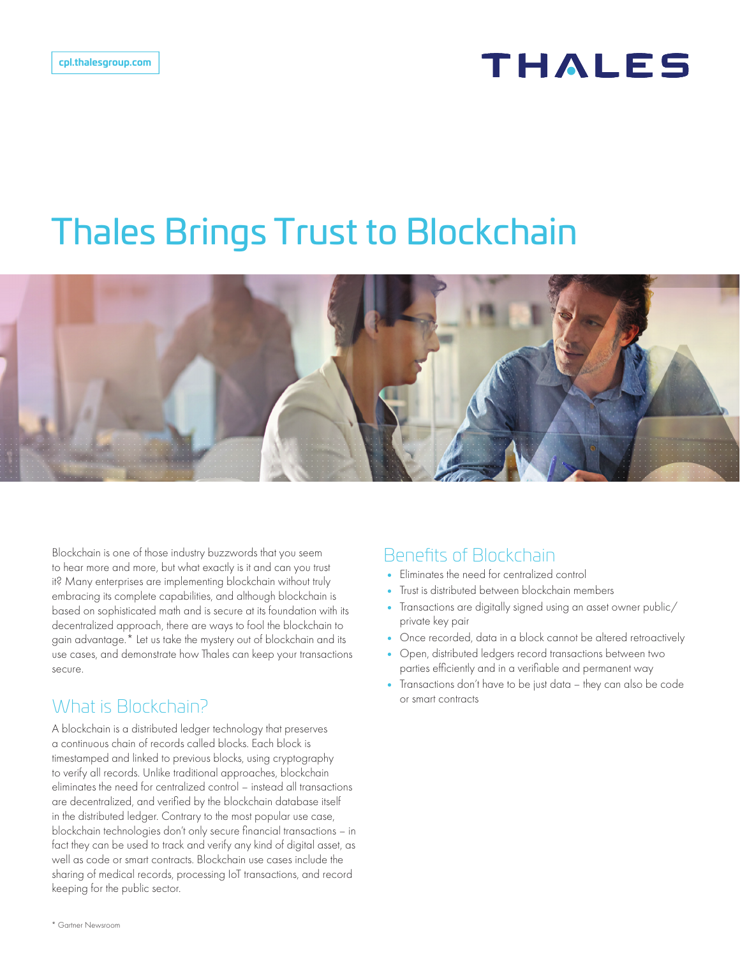# **THALES**

# Thales Brings Trust to Blockchain



Blockchain is one of those industry buzzwords that you seem to hear more and more, but what exactly is it and can you trust it? Many enterprises are implementing blockchain without truly embracing its complete capabilities, and although blockchain is based on sophisticated math and is secure at its foundation with its decentralized approach, there are ways to fool the blockchain to gain advantage.\* Let us take the mystery out of blockchain and its use cases, and demonstrate how Thales can keep your transactions secure.

## What is Blockchain?

A blockchain is a distributed ledger technology that preserves a continuous chain of records called blocks. Each block is timestamped and linked to previous blocks, using cryptography to verify all records. Unlike traditional approaches, blockchain eliminates the need for centralized control – instead all transactions are decentralized, and verified by the blockchain database itself in the distributed ledger. Contrary to the most popular use case, blockchain technologies don't only secure financial transactions – in fact they can be used to track and verify any kind of digital asset, as well as code or smart contracts. Blockchain use cases include the sharing of medical records, processing IoT transactions, and record keeping for the public sector.

#### Benefits of Blockchain

- Eliminates the need for centralized control
- Trust is distributed between blockchain members
- Transactions are digitally signed using an asset owner public/ private key pair
- Once recorded, data in a block cannot be altered retroactively
- Open, distributed ledgers record transactions between two parties efficiently and in a verifiable and permanent way
- Transactions don't have to be just data they can also be code or smart contracts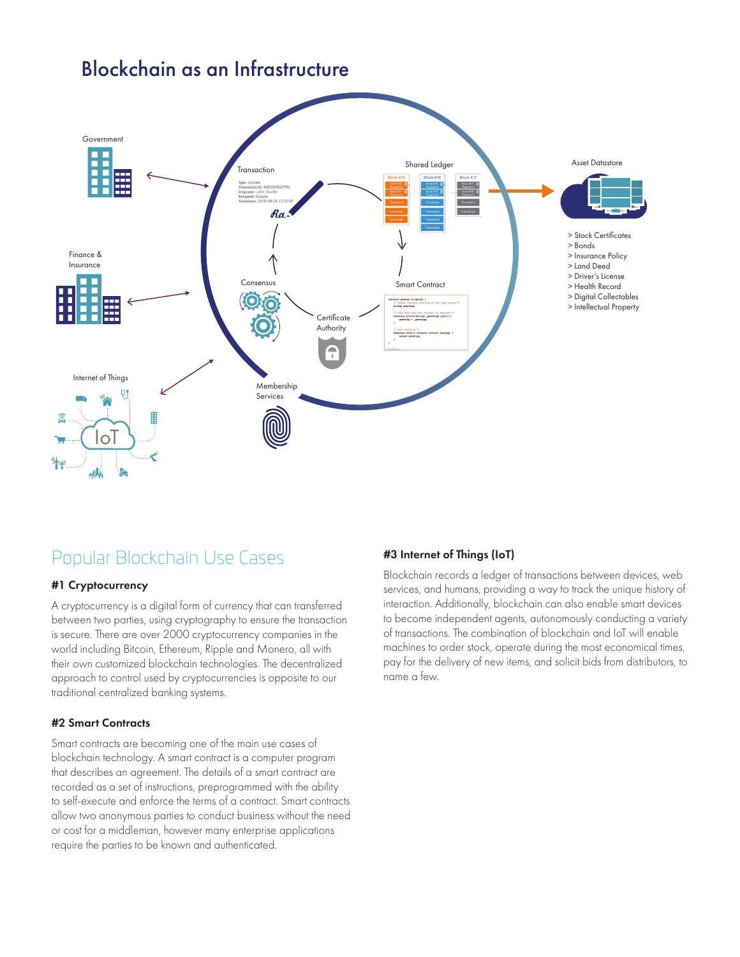### Blockchain as an Infrastructure



## Popular Blockchain Use Cases

#### #1 Cryptocurrency

A cryptocurrency is a digital form of currency that can transferred between two parties, using cryptography to ensure the transaction is secure. There are over 2000 cryptocurrency companies in the world including Bitcoin, Ethereum, Ripple and Monero, all with their own customized blockchain technologies. The decentralized approach to control used by cryptocurrencies is opposite to our traditional centralized banking systems.

#### #2 Smart Contracts

Smart contracts are becoming one of the main use cases of blockchain technology. A smart contract is a computer program that describes an agreement. The details of a smart contract are recorded as a set of instructions, preprogrammed with the ability to self-execute and enforce the terms of a contract. Smart contracts allow two anonymous parties to conduct business without the need or cost for a middleman, however many enterprise applications require the parties to be known and authenticated.

#### #3 Internet of Things (IoT)

Blockchain records a ledger of transactions between devices, web services, and humans, providing a way to track the unique history of interaction. Additionally, blockchain can also enable smart devices to become independent agents, autonomously conducting a variety of transactions. The combination of blockchain and IoT will enable machines to order stock, operate during the most economical times, pay for the delivery of new items, and solicit bids from distributors, to name a few.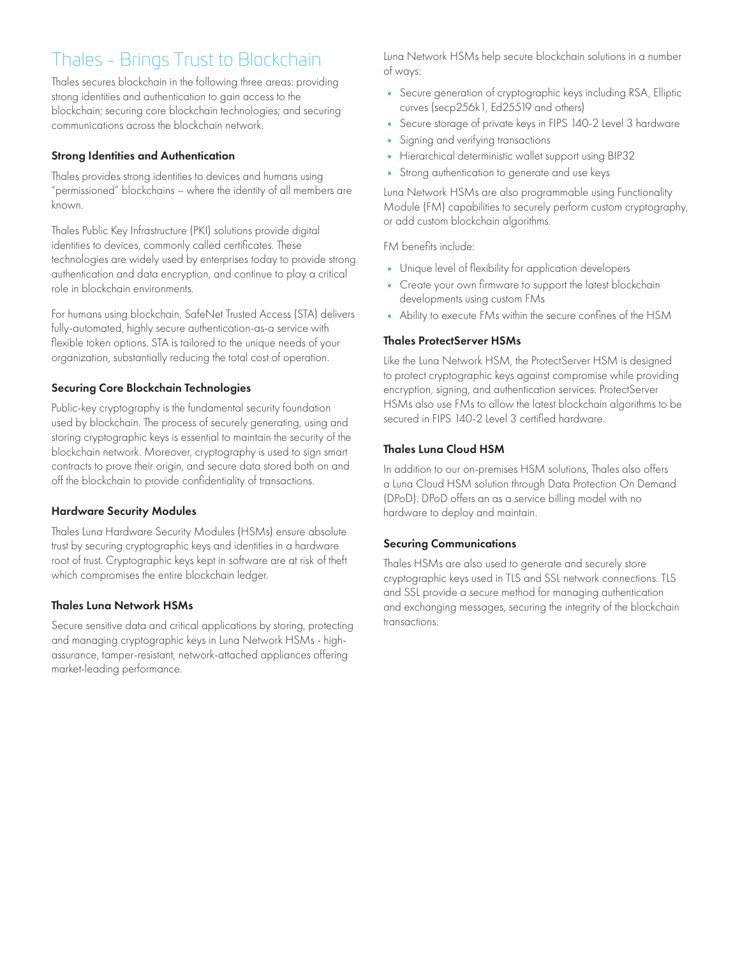# Thales - Brings Trust to Blockchain

Thales secures blockchain in the following three areas: providing strong identities and authentication to gain access to the blockchain; securing core blockchain technologies; and securing communications across the blockchain network.

#### Strong Identities and Authentication

Thales provides strong identities to devices and humans using "permissioned" blockchains – where the identity of all members are known.

Thales Public Key Infrastructure (PKI) solutions provide digital identities to devices, commonly called certificates. These technologies are widely used by enterprises today to provide strong authentication and data encryption, and continue to play a critical role in blockchain environments.

For humans using blockchain, SafeNet Trusted Access (STA) delivers fully-automated, highly secure authentication-as-a service with flexible token options. STA is tailored to the unique needs of your organization, substantially reducing the total cost of operation.

#### Securing Core Blockchain Technologies

Public-key cryptography is the fundamental security foundation used by blockchain. The process of securely generating, using and storing cryptographic keys is essential to maintain the security of the blockchain network. Moreover, cryptography is used to sign smart contracts to prove their origin, and secure data stored both on and off the blockchain to provide confidentiality of transactions.

#### Hardware Security Modules

Thales Luna Hardware Security Modules (HSMs) ensure absolute trust by securing cryptographic keys and identities in a hardware root of trust. Cryptographic keys kept in software are at risk of theft which compromises the entire blockchain ledger.

#### Thales Luna Network HSMs

Secure sensitive data and critical applications by storing, protecting and managing cryptographic keys in Luna Network HSMs - highassurance, tamper-resistant, network-attached appliances offering market-leading performance.

Luna Network HSMs help secure blockchain solutions in a number of ways:

- Secure generation of cryptographic keys including RSA, Elliptic curves (secp256k1, Ed25519 and others)
- Secure storage of private keys in FIPS 140-2 Level 3 hardware
- Signing and verifying transactions
- Hierarchical deterministic wallet support using BIP32
- Strong authentication to generate and use keys

Luna Network HSMs are also programmable using Functionality Module (FM) capabilities to securely perform custom cryptography, or add custom blockchain algorithms.

FM benefits include:

- Unique level of flexibility for application developers
- Create your own firmware to support the latest blockchain developments using custom FMs
- Ability to execute FMs within the secure confines of the HSM

#### Thales ProtectServer HSMs

Like the Luna Network HSM, the ProtectServer HSM is designed to protect cryptographic keys against compromise while providing encryption, signing, and authentication services. ProtectServer HSMs also use FMs to allow the latest blockchain algorithms to be secured in FIPS 140-2 Level 3 certified hardware.

#### Thales Luna Cloud HSM

In addition to our on-premises HSM solutions, Thales also offers a Luna Cloud HSM solution through Data Protection On Demand (DPoD). DPoD offers an as a service billing model with no hardware to deploy and maintain.

#### Securing Communications

Thales HSMs are also used to generate and securely store cryptographic keys used in TLS and SSL network connections. TLS and SSL provide a secure method for managing authentication and exchanging messages, securing the integrity of the blockchain transactions.